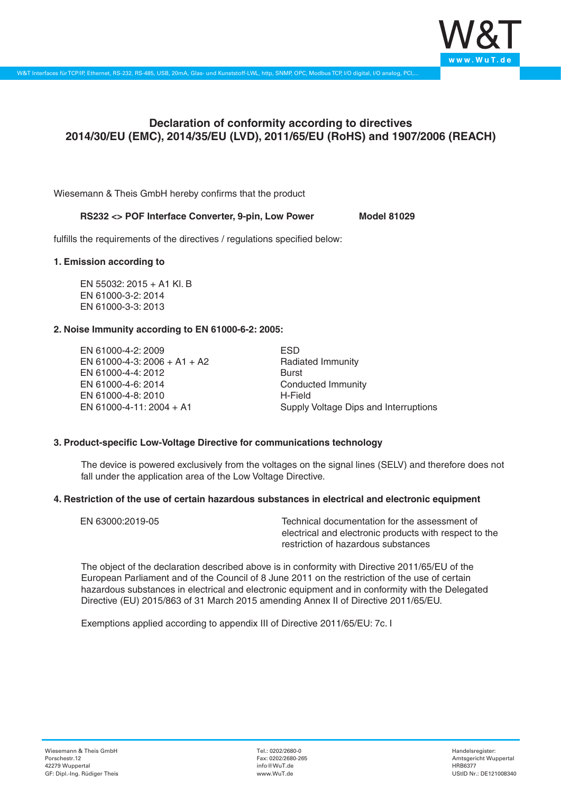

# **Declaration of conformity according to directives 2014/30/EU (EMC), 2014/35/EU (LVD), 2011/65/EU (RoHS) and 1907/2006 (REACH)**

Wiesemann & Theis GmbH hereby confirms that the product

# RS232 <> POF Interface Converter, 9-pin, Low Power Model 81029

fulfills the requirements of the directives / regulations specified below:

### **1. Emission according to**

EN 55032: 2015 + A1 Kl. B EN 61000-3-2: 2014 EN 61000-3-3: 2013

## **2. Noise Immunity according to EN 61000-6-2: 2005:**

EN 61000-4-2: 2009 EN 61000-4-3: 2006 + A1 + A2 EN 61000-4-4: 2012 EN 61000-4-6: 2014 EN 61000-4-8: 2010 EN 61000-4-11: 2004 + A1

ESD Radiated Immunity Burst Conducted Immunity H-Field Supply Voltage Dips and Interruptions

# **3. Product-specific Low-Voltage Directive for communications technology**

The device is powered exclusively from the voltages on the signal lines (SELV) and therefore does not fall under the application area of the Low Voltage Directive.

### **4. Restriction of the use of certain hazardous substances in electrical and electronic equipment**

| EN 63000:2019-05 | Technical documentation for the assessment of          |
|------------------|--------------------------------------------------------|
|                  | electrical and electronic products with respect to the |
|                  | restriction of hazardous substances                    |

The object of the declaration described above is in conformity with Directive 2011/65/EU of the European Parliament and of the Council of 8 June 2011 on the restriction of the use of certain hazardous substances in electrical and electronic equipment and in conformity with the Delegated Directive (EU) 2015/863 of 31 March 2015 amending Annex II of Directive 2011/65/EU.

Exemptions applied according to appendix III of Directive 2011/65/EU: 7c. I